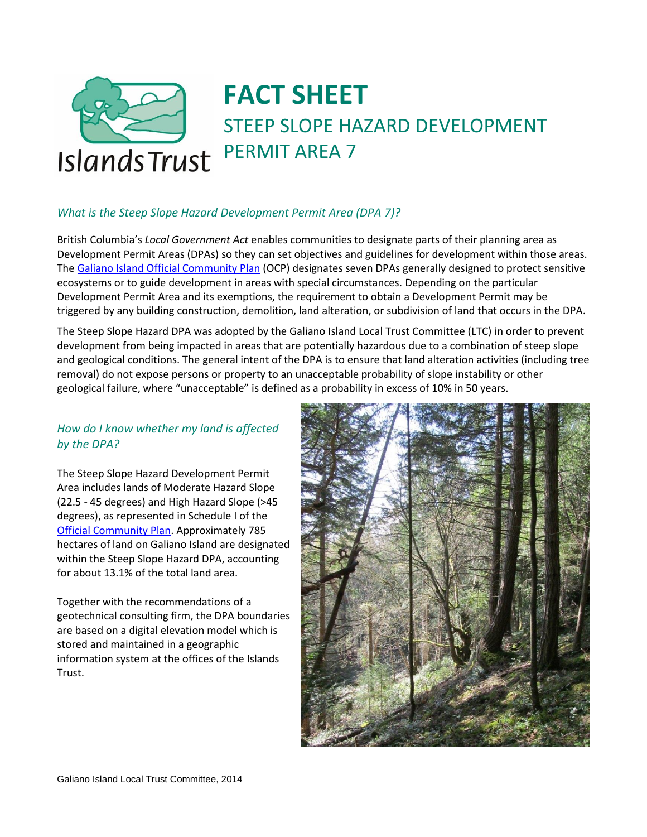

# **FACT SHEET** STEEP SLOPE HAZARD DEVELOPMENT PERMIT AREA 7

# *What is the Steep Slope Hazard Development Permit Area (DPA 7)?*

British Columbia's *Local Government Act* enables communities to designate parts of their planning area as Development Permit Areas (DPAs) so they can set objectives and guidelines for development within those areas. The [Galiano Island Official Community Plan](http://www.islandstrust.bc.ca/media/243718/GalianoOCP108Oct13.pdf) (OCP) designates seven DPAs generally designed to protect sensitive ecosystems or to guide development in areas with special circumstances. Depending on the particular Development Permit Area and its exemptions, the requirement to obtain a Development Permit may be triggered by any building construction, demolition, land alteration, or subdivision of land that occurs in the DPA.

The Steep Slope Hazard DPA was adopted by the Galiano Island Local Trust Committee (LTC) in order to prevent development from being impacted in areas that are potentially hazardous due to a combination of steep slope and geological conditions. The general intent of the DPA is to ensure that land alteration activities (including tree removal) do not expose persons or property to an unacceptable probability of slope instability or other geological failure, where "unacceptable" is defined as a probability in excess of 10% in 50 years.

## *How do I know whether my land is affected by the DPA?*

The Steep Slope Hazard Development Permit Area includes lands of Moderate Hazard Slope (22.5 - 45 degrees) and High Hazard Slope (>45 degrees), as represented in Schedule I of the [Official Community Plan.](http://www.islandstrust.bc.ca/media/243718/GalianoOCP108Oct13.pdf) Approximately 785 hectares of land on Galiano Island are designated within the Steep Slope Hazard DPA, accounting for about 13.1% of the total land area.

Together with the recommendations of a geotechnical consulting firm, the DPA boundaries are based on a digital elevation model which is stored and maintained in a geographic information system at the offices of the Islands Trust.